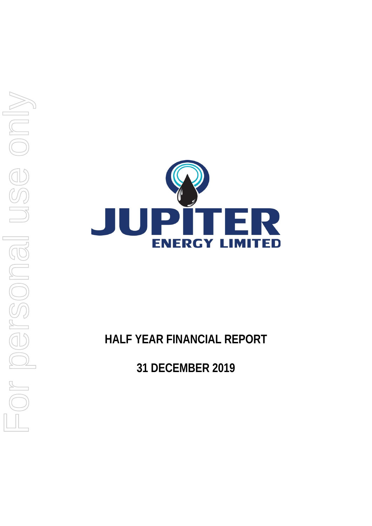

**HALF YEAR FINANCIAL REPORT**

**31 DECEMBER 2019**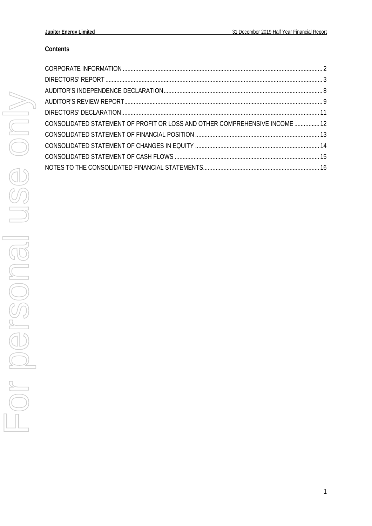# **Contents**

| CONSOLIDATED STATEMENT OF PROFIT OR LOSS AND OTHER COMPREHENSIVE INCOME  12 |  |
|-----------------------------------------------------------------------------|--|
|                                                                             |  |
|                                                                             |  |
|                                                                             |  |
|                                                                             |  |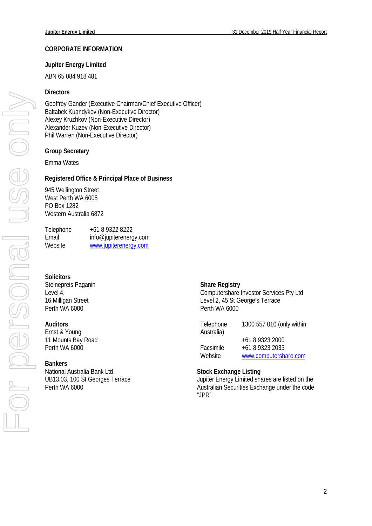### <span id="page-2-0"></span>**CORPORATE INFORMATION**

### **Jupiter Energy Limited**

ABN 65 084 918 481

### **Directors**

Geoffrey Gander (Executive Chairman/Chief Executive Officer) Baltabek Kuandykov (Non-Executive Director) Alexey Kruzhkov (Non-Executive Director) Alexander Kuzev (Non-Executive Director) Phil Warren (Non-Executive Director)

### **Group Secretary**

Emma Wates

### **Registered Office & Principal Place of Business**

945 Wellington Street West Perth WA 6005 PO Box 1282 Western Australia 6872

| Telephone | +61 8 9322 8222        |
|-----------|------------------------|
| Email     | info@jupiterenergy.com |
| Website   | www.jupiterenergy.com  |

### **Solicitors**

Steinepreis Paganin Level 4, 16 Milligan Street Perth WA 6000

### **Auditors**

Ernst & Young 11 Mounts Bay Road Perth WA 6000

### **Bankers**

National Australia Bank Ltd UB13.03, 100 St Georges Terrace Perth WA 6000

#### **Share Registry**

Computershare Investor Services Pty Ltd Level 2, 45 St George's Terrace Perth WA 6000

| Telephone  | 1300 557 010 (only within |
|------------|---------------------------|
| Australia) |                           |
|            | +61 8 9323 2000           |
| Facsimile  | +61 8 9323 2033           |
| Website    | www.computershare.com     |

#### **Stock Exchange Listing**

Jupiter Energy Limited shares are listed on the Australian Securities Exchange under the code "JPR".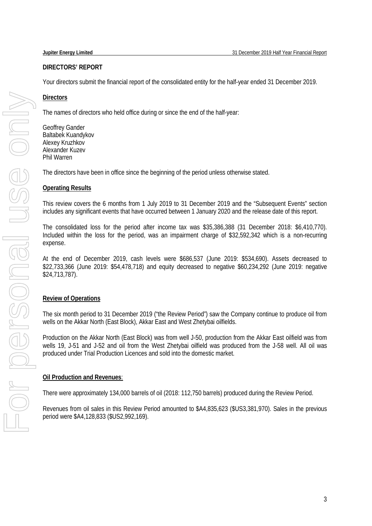# <span id="page-3-0"></span>**DIRECTORS' REPORT**

Your directors submit the financial report of the consolidated entity for the half-year ended 31 December 2019.

# **Directors**

The names of directors who held office during or since the end of the half-year:

Geoffrey Gander Baltabek Kuandykov Alexey Kruzhkov Alexander Kuzev Phil Warren

The directors have been in office since the beginning of the period unless otherwise stated.

# **Operating Results**

This review covers the 6 months from 1 July 2019 to 31 December 2019 and the "Subsequent Events" section includes any significant events that have occurred between 1 January 2020 and the release date of this report.

The consolidated loss for the period after income tax was \$35,386,388 (31 December 2018: \$6,410,770). Included within the loss for the period, was an impairment charge of \$32,592,342 which is a non-recurring expense.

At the end of December 2019, cash levels were \$686,537 (June 2019: \$534,690). Assets decreased to \$22,733,366 (June 2019: \$54,478,718) and equity decreased to negative \$60,234,292 (June 2019: negative \$24,713,787).

# **Review of Operations**

The six month period to 31 December 2019 ("the Review Period") saw the Company continue to produce oil from wells on the Akkar North (East Block), Akkar East and West Zhetybai oilfields.

Production on the Akkar North (East Block) was from well J-50, production from the Akkar East oilfield was from wells 19, J-51 and J-52 and oil from the West Zhetybai oilfield was produced from the J-58 well. All oil was produced under Trial Production Licences and sold into the domestic market.

# **Oil Production and Revenues**:

There were approximately 134,000 barrels of oil (2018: 112,750 barrels) produced during the Review Period.

Revenues from oil sales in this Review Period amounted to \$A4,835,623 (\$US3,381,970). Sales in the previous period were \$A4,128,833 (\$US2,992,169).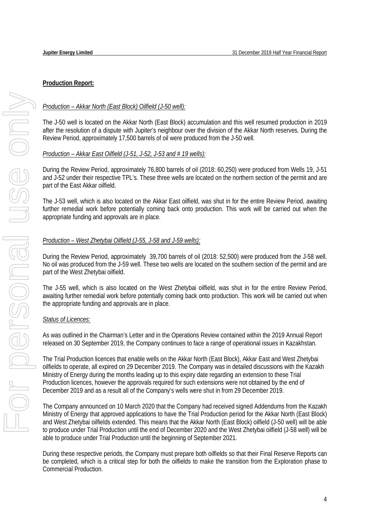# **Production Report:**

# *Production – Akkar North (East Block) Oilfield (J-50 well):*

The J-50 well is located on the Akkar North (East Block) accumulation and this well resumed production in 2019 after the resolution of a dispute with Jupiter's neighbour over the division of the Akkar North reserves. During the Review Period, approximately 17,500 barrels of oil were produced from the J-50 well.

# *Production – Akkar East Oilfield (J-51, J-52, J-53 and # 19 wells):*

During the Review Period, approximately 76,800 barrels of oil (2018: 60,250) were produced from Wells 19, J-51 and J-52 under their respective TPL's. These three wells are located on the northern section of the permit and are part of the East Akkar oilfield.

The J-53 well, which is also located on the Akkar East oilfield, was shut in for the entire Review Period, awaiting further remedial work before potentially coming back onto production. This work will be carried out when the appropriate funding and approvals are in place.

# *Production – West Zhetybai Oilfield (J-55, J-58 and J-59 wells):*

During the Review Period, approximately 39,700 barrels of oil (2018: 52,500) were produced from the J-58 well. No oil was produced from the J-59 well. These two wells are located on the southern section of the permit and are part of the West Zhetybai oilfield.

The J-55 well, which is also located on the West Zhetybai oilfield, was shut in for the entire Review Period, awaiting further remedial work before potentially coming back onto production. This work will be carried out when the appropriate funding and approvals are in place.

# *Status of Licences:*

As was outlined in the Chairman's Letter and in the Operations Review contained within the 2019 Annual Report released on 30 September 2019, the Company continues to face a range of operational issues in Kazakhstan.

The Trial Production licences that enable wells on the Akkar North (East Block), Akkar East and West Zhetybai oilfields to operate, all expired on 29 December 2019. The Company was in detailed discussions with the Kazakh Ministry of Energy during the months leading up to this expiry date regarding an extension to these Trial Production licences, however the approvals required for such extensions were not obtained by the end of December 2019 and as a result all of the Company's wells were shut in from 29 December 2019.

The Company announced on 10 March 2020 that the Company had received signed Addendums from the Kazakh Ministry of Energy that approved applications to have the Trial Production period for the Akkar North (East Block) and West Zhetybai oilfields extended. This means that the Akkar North (East Block) oilfield (J-50 well) will be able to produce under Trial Production until the end of December 2020 and the West Zhetybai oilfield (J-58 well) will be able to produce under Trial Production until the beginning of September 2021.

During these respective periods, the Company must prepare both oilfields so that their Final Reserve Reports can be completed, which is a critical step for both the oilfields to make the transition from the Exploration phase to Commercial Production.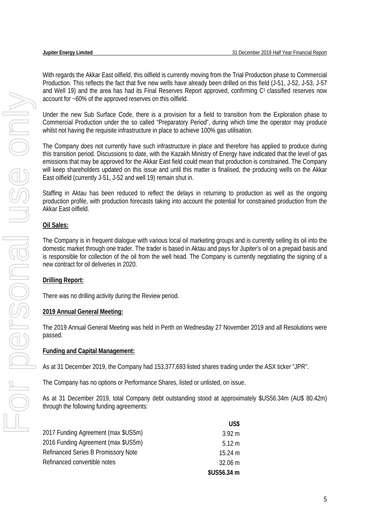With regards the Akkar East oilfield, this oilfield is currently moving from the Trial Production phase to Commercial Production. This reflects the fact that five new wells have already been drilled on this field (J-51, J-52, J-53, J-57 and Well 19) and the area has had its Final Reserves Report approved, confirming C1 classified reserves now account for ~60% of the approved reserves on this oilfield.

Under the new Sub Surface Code, there is a provision for a field to transition from the Exploration phase to Commercial Production under the so called "Preparatory Period", during which time the operator may produce whilst not having the requisite infrastructure in place to achieve 100% gas utilisation.

The Company does not currently have such infrastructure in place and therefore has applied to produce during this transition period. Discussions to date, with the Kazakh Ministry of Energy have indicated that the level of gas emissions that may be approved for the Akkar East field could mean that production is constrained. The Company will keep shareholders updated on this issue and until this matter is finalised, the producing wells on the Akkar East oilfield (currently J-51, J-52 and well 19) remain shut in.

Staffing in Aktau has been reduced to reflect the delays in returning to production as well as the ongoing production profile, with production forecasts taking into account the potential for constrained production from the Akkar East oilfield.

# **Oil Sales:**

The Company is in frequent dialogue with various local oil marketing groups and is currently selling its oil into the domestic market through one trader. The trader is based in Aktau and pays for Jupiter's oil on a prepaid basis and is responsible for collection of the oil from the well head. The Company is currently negotiating the signing of a new contract for oil deliveries in 2020.

# **Drilling Report:**

There was no drilling activity during the Review period.

# **2019 Annual General Meeting:**

The 2019 Annual General Meeting was held in Perth on Wednesday 27 November 2019 and all Resolutions were passed.

# **Funding and Capital Management:**

As at 31 December 2019, the Company had 153,377,693 listed shares trading under the ASX ticker "JPR".

The Company has no options or Performance Shares, listed or unlisted, on issue.

As at 31 December 2019, total Company debt outstanding stood at approximately \$US56.34m (AU\$ 80.42m) through the following funding agreements:

|                                            | US\$              |
|--------------------------------------------|-------------------|
| 2017 Funding Agreement (max \$US5m)        | $3.92 \text{ m}$  |
| 2016 Funding Agreement (max \$US5m)        | $5.12 \text{ m}$  |
| <b>Refinanced Series B Promissory Note</b> | $15.24 \text{ m}$ |
| Refinanced convertible notes               | 32.06 m           |
|                                            | \$US56.34 m       |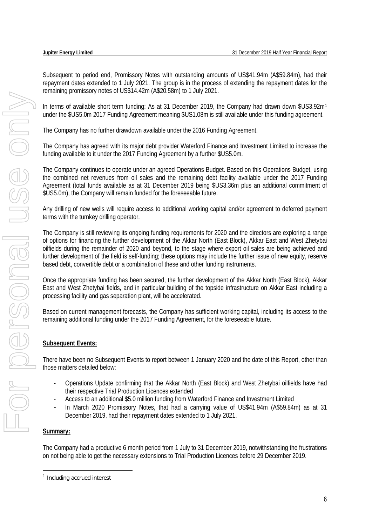Subsequent to period end, Promissory Notes with outstanding amounts of US\$41.94m (A\$59.84m), had their repayment dates extended to 1 July 2021. The group is in the process of extending the repayment dates for the remaining promissory notes of US\$14.42m (A\$20.58m) to 1 July 2021.

In terms of available short term funding: As at 3[1](#page-6-0) December 2019, the Company had drawn down \$US3.92m<sup>1</sup> under the \$US5.0m 2017 Funding Agreement meaning \$US1.08m is still available under this funding agreement.

The Company has no further drawdown available under the 2016 Funding Agreement.

The Company has agreed with its major debt provider Waterford Finance and Investment Limited to increase the funding available to it under the 2017 Funding Agreement by a further \$US5.0m.

The Company continues to operate under an agreed Operations Budget. Based on this Operations Budget, using the combined net revenues from oil sales and the remaining debt facility available under the 2017 Funding Agreement (total funds available as at 31 December 2019 being \$US3.36m plus an additional commitment of \$US5.0m), the Company will remain funded for the foreseeable future.

Any drilling of new wells will require access to additional working capital and/or agreement to deferred payment terms with the turnkey drilling operator.

The Company is still reviewing its ongoing funding requirements for 2020 and the directors are exploring a range of options for financing the further development of the Akkar North (East Block), Akkar East and West Zhetybai oilfields during the remainder of 2020 and beyond, to the stage where export oil sales are being achieved and further development of the field is self-funding; these options may include the further issue of new equity, reserve based debt, convertible debt or a combination of these and other funding instruments.

Once the appropriate funding has been secured, the further development of the Akkar North (East Block), Akkar East and West Zhetybai fields, and in particular building of the topside infrastructure on Akkar East including a processing facility and gas separation plant, will be accelerated.

Based on current management forecasts, the Company has sufficient working capital, including its access to the remaining additional funding under the 2017 Funding Agreement, for the foreseeable future.

# **Subsequent Events:**

There have been no Subsequent Events to report between 1 January 2020 and the date of this Report, other than those matters detailed below:

- Operations Update confirming that the Akkar North (East Block) and West Zhetybai oilfields have had their respective Trial Production Licences extended
- Access to an additional \$5.0 million funding from Waterford Finance and Investment Limited
- In March 2020 Promissory Notes, that had a carrying value of US\$41.94m (A\$59.84m) as at 31 December 2019, had their repayment dates extended to 1 July 2021.

# **Summary:**

The Company had a productive 6 month period from 1 July to 31 December 2019, notwithstanding the frustrations on not being able to get the necessary extensions to Trial Production Licences before 29 December 2019.

<span id="page-6-0"></span> $\overline{a}$ <sup>1</sup> Including accrued interest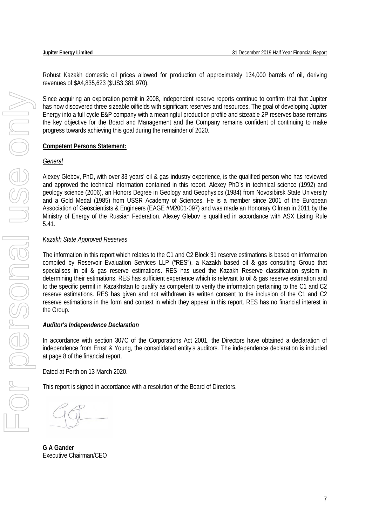Robust Kazakh domestic oil prices allowed for production of approximately 134,000 barrels of oil, deriving revenues of \$A4,835,623 (\$US3,381,970).

Since acquiring an exploration permit in 2008, independent reserve reports continue to confirm that that Jupiter has now discovered three sizeable oilfields with significant reserves and resources. The goal of developing Jupiter Energy into a full cycle E&P company with a meaningful production profile and sizeable 2P reserves base remains the key objective for the Board and Management and the Company remains confident of continuing to make progress towards achieving this goal during the remainder of 2020.

# **Competent Persons Statement:**

### *General*

Alexey Glebov, PhD, with over 33 years' oil & gas industry experience, is the qualified person who has reviewed and approved the technical information contained in this report. Alexey PhD's in technical science (1992) and geology science (2006), an Honors Degree in Geology and Geophysics (1984) from Novosibirsk State University and a Gold Medal (1985) from USSR Academy of Sciences. He is a member since 2001 of the European Association of Geoscientists & Engineers (EAGE #M2001-097) and was made an Honorary Oilman in 2011 by the Ministry of Energy of the Russian Federation. Alexey Glebov is qualified in accordance with ASX Listing Rule 5.41.

# *Kazakh State Approved Reserves*

The information in this report which relates to the C1 and C2 Block 31 reserve estimations is based on information compiled by Reservoir Evaluation Services LLP ("RES"), a Kazakh based oil & gas consulting Group that specialises in oil & gas reserve estimations. RES has used the Kazakh Reserve classification system in determining their estimations. RES has sufficient experience which is relevant to oil & gas reserve estimation and to the specific permit in Kazakhstan to qualify as competent to verify the information pertaining to the C1 and C2 reserve estimations. RES has given and not withdrawn its written consent to the inclusion of the C1 and C2 reserve estimations in the form and context in which they appear in this report. RES has no financial interest in the Group.

# *Auditor's Independence Declaration*

In accordance with section 307C of the Corporations Act 2001, the Directors have obtained a declaration of independence from Ernst & Young, the consolidated entity's auditors. The independence declaration is included at page 8 of the financial report.

Dated at Perth on 13 March 2020.

This report is signed in accordance with a resolution of the Board of Directors.

**G A Gander**  Executive Chairman/CEO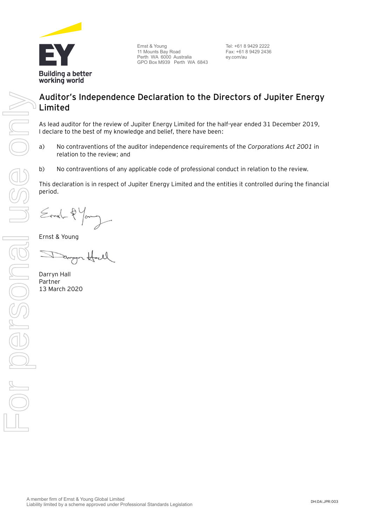

Ernst & Young 11 Mounts Bay Road Perth WA 6000 Australia GPO Box M939 Perth WA 6843

Tel: +61 8 9429 2222 Fax: +61 8 9429 2436 ey.com/au

# **Auditor's Independence Declaration to the Directors of Jupiter Energy Limited**

As lead auditor for the review of Jupiter Energy Limited for the half-year ended 31 December 2019, I declare to the best of my knowledge and belief, there have been:

- a) No contraventions of the auditor independence requirements of the *Corporations Act 2001* in relation to the review; and
- b) No contraventions of any applicable code of professional conduct in relation to the review.

This declaration is in respect of Jupiter Energy Limited and the entities it controlled during the financial period.

Ernel-2 Young

Ernst & Young

Darryn Hall Partner 13 March 2020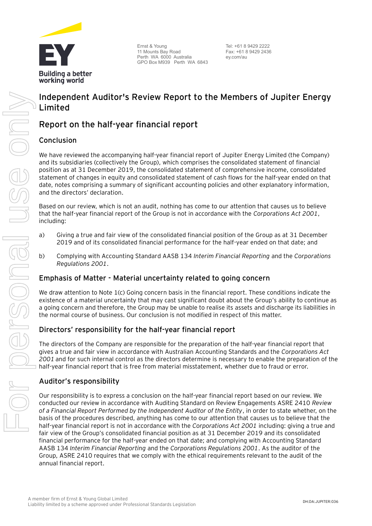

Ernst & Young 11 Mounts Bay Road Perth WA 6000 Australia GPO Box M939 Perth WA 6843

Tel: +61 8 9429 2222 Fax: +61 8 9429 2436 ey.com/au

# **Independent Auditor's Review Report to the Members of Jupiter Energy Limited**

# **Report on the half-year financial report**

# Conclusion

We have reviewed the accompanying half-year financial report of Jupiter Energy Limited (the Company) and its subsidiaries (collectively the Group), which comprises the consolidated statement of financial position as at 31 December 2019, the consolidated statement of comprehensive income, consolidated statement of changes in equity and consolidated statement of cash flows for the half-year ended on that date, notes comprising a summary of significant accounting policies and other explanatory information, and the directors' declaration.

Based on our review, which is not an audit, nothing has come to our attention that causes us to believe that the half-year financial report of the Group is not in accordance with the *Corporations Act 2001*, including:

- a) Giving a true and fair view of the consolidated financial position of the Group as at 31 December 2019 and of its consolidated financial performance for the half-year ended on that date; and
- b) Complying with Accounting Standard AASB 134 *Interim Financial Reporting* and the *Corporations Regulations 2001*.

# Emphasis of Matter - Material uncertainty related to going concern

We draw attention to Note 1(c) Going concern basis in the financial report. These conditions indicate the existence of a material uncertainty that may cast significant doubt about the Group's ability to continue as a going concern and therefore, the Group may be unable to realise its assets and discharge its liabilities in the normal course of business. Our conclusion is not modified in respect of this matter.

# Directors' responsibility for the half-year financial report

The directors of the Company are responsible for the preparation of the half-year financial report that gives a true and fair view in accordance with Australian Accounting Standards and the *Corporations Act 2001* and for such internal control as the directors determine is necessary to enable the preparation of the half-year financial report that is free from material misstatement, whether due to fraud or error.

# Auditor's responsibility

Our responsibility is to express a conclusion on the half-year financial report based on our review. We conducted our review in accordance with Auditing Standard on Review Engagements ASRE 2410 *Review of a Financial Report Performed by the Independent Auditor of the Entity*, in order to state whether, on the basis of the procedures described, anything has come to our attention that causes us to believe that the half-year financial report is not in accordance with the *Corporations Act 2001* including: giving a true and fair view of the Group's consolidated financial position as at 31 December 2019 and its consolidated financial performance for the half-year ended on that date; and complying with Accounting Standard AASB 134 *Interim Financial Reporting* and the *Corporations Regulations 2001*. As the auditor of the Group, ASRE 2410 requires that we comply with the ethical requirements relevant to the audit of the annual financial report.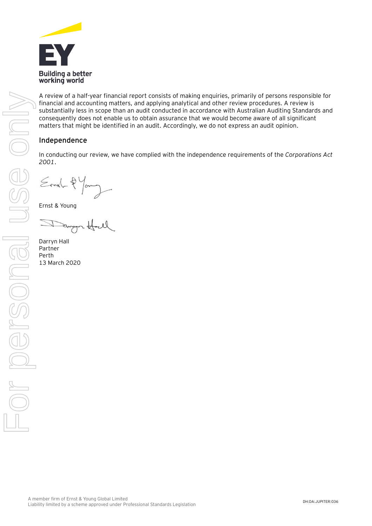

A review of a half-year financial report consists of making enquiries, primarily of persons responsible for financial and accounting matters, and applying analytical and other review procedures. A review is substantially less in scope than an audit conducted in accordance with Australian Auditing Standards and consequently does not enable us to obtain assurance that we would become aware of all significant matters that might be identified in an audit. Accordingly, we do not express an audit opinion.

# Independence

In conducting our review, we have complied with the independence requirements of the *Corporations Act 2001*.

Ernel-2 Young

Ernst & Young

Darryn Hall Partner Perth 13 March 2020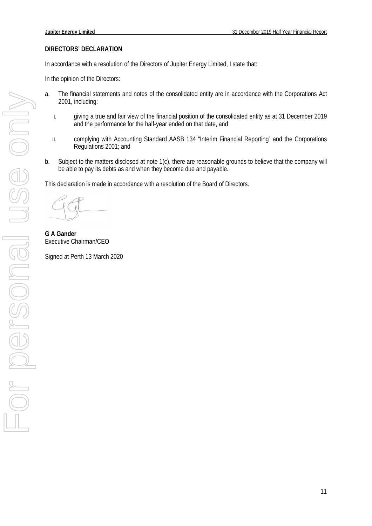### <span id="page-11-0"></span>**DIRECTORS' DECLARATION**

In accordance with a resolution of the Directors of Jupiter Energy Limited, I state that:

In the opinion of the Directors:

- a. The financial statements and notes of the consolidated entity are in accordance with the Corporations Act 2001, including:
	- I. giving a true and fair view of the financial position of the consolidated entity as at 31 December 2019 and the performance for the half-year ended on that date, and
	- II. complying with Accounting Standard AASB 134 "Interim Financial Reporting" and the Corporations Regulations 2001; and
- b. Subject to the matters disclosed at note 1(c), there are reasonable grounds to believe that the company will be able to pay its debts as and when they become due and payable.

This declaration is made in accordance with a resolution of the Board of Directors.

**G A Gander**  Executive Chairman/CEO

Signed at Perth 13 March 2020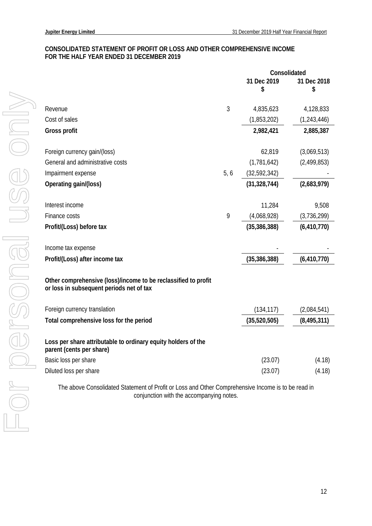### <span id="page-12-0"></span>**CONSOLIDATED STATEMENT OF PROFIT OR LOSS AND OTHER COMPREHENSIVE INCOME FOR THE HALF YEAR ENDED 31 DECEMBER 2019**

| 31 Dec 2019<br>31 Dec 2018                                                                                 |        |
|------------------------------------------------------------------------------------------------------------|--------|
| \$<br>\$                                                                                                   |        |
|                                                                                                            |        |
| 3<br>4,835,623<br>4,128,833<br>Revenue                                                                     |        |
| Cost of sales<br>(1,853,202)<br>(1, 243, 446)                                                              |        |
| <b>Gross profit</b><br>2,982,421<br>2,885,387                                                              |        |
| 62,819<br>(3,069,513)<br>Foreign currency gain/(loss)                                                      |        |
| General and administrative costs<br>(1,781,642)<br>(2,499,853)                                             |        |
| 5, 6<br>(32,592,342)<br>Impairment expense                                                                 |        |
| (31, 328, 744)<br>(2,683,979)<br>Operating gain/(loss)                                                     |        |
| Interest income<br>11,284                                                                                  | 9,508  |
| 9<br>(4,068,928)<br>Finance costs<br>(3,736,299)                                                           |        |
| Profit/(Loss) before tax<br>(35, 386, 388)<br>(6, 410, 770)                                                |        |
|                                                                                                            |        |
| Income tax expense                                                                                         |        |
| (35, 386, 388)<br>(6, 410, 770)<br>Profit/(Loss) after income tax                                          |        |
| Other comprehensive (loss)/income to be reclassified to profit<br>or loss in subsequent periods net of tax |        |
| Foreign currency translation<br>(134, 117)<br>(2,084,541)                                                  |        |
| Total comprehensive loss for the period<br>(35,520,505)<br>(8, 495, 311)                                   |        |
| Loss per share attributable to ordinary equity holders of the<br>parent (cents per share)                  |        |
| Basic loss per share<br>(23.07)                                                                            | (4.18) |
| Diluted loss per share<br>(23.07)                                                                          | (4.18) |

The above Consolidated Statement of Profit or Loss and Other Comprehensive Income is to be read in conjunction with the accompanying notes.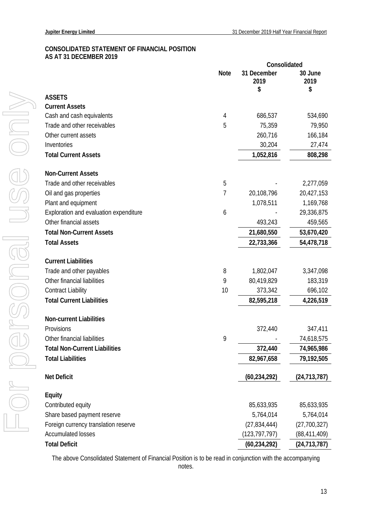### <span id="page-13-0"></span>**CONSOLIDATED STATEMENT OF FINANCIAL POSITION AS AT 31 DECEMBER 2019**

|                                        | Consolidated |                           |                       |
|----------------------------------------|--------------|---------------------------|-----------------------|
|                                        | <b>Note</b>  | 31 December<br>2019<br>\$ | 30 June<br>2019<br>\$ |
| <b>ASSETS</b>                          |              |                           |                       |
| <b>Current Assets</b>                  |              |                           |                       |
| Cash and cash equivalents              | 4            | 686,537                   | 534,690               |
| Trade and other receivables            | 5            | 75,359                    | 79,950                |
| Other current assets                   |              | 260,716                   | 166,184               |
| Inventories                            |              | 30,204                    | 27,474                |
| <b>Total Current Assets</b>            |              | 1,052,816                 | 808,298               |
| <b>Non-Current Assets</b>              |              |                           |                       |
| Trade and other receivables            | 5            |                           | 2,277,059             |
| Oil and gas properties                 | 7            | 20,108,796                | 20,427,153            |
| Plant and equipment                    |              | 1,078,511                 | 1,169,768             |
| Exploration and evaluation expenditure | 6            |                           | 29,336,875            |
| Other financial assets                 |              | 493,243                   | 459,565               |
| <b>Total Non-Current Assets</b>        |              | 21,680,550                | 53,670,420            |
| <b>Total Assets</b>                    |              | 22,733,366                | 54,478,718            |
| <b>Current Liabilities</b>             |              |                           |                       |
| Trade and other payables               | 8            | 1,802,047                 | 3,347,098             |
| Other financial liabilities            | 9            | 80,419,829                | 183,319               |
| <b>Contract Liability</b>              | 10           | 373,342                   | 696,102               |
| <b>Total Current Liabilities</b>       |              | 82,595,218                | 4,226,519             |
| <b>Non-current Liabilities</b>         |              |                           |                       |
| Provisions                             |              | 372,440                   | 347,411               |
| Other financial liabilities            | 9            |                           | 74,618,575            |
| <b>Total Non-Current Liabilities</b>   |              | 372,440                   | 74,965,986            |
| <b>Total Liabilities</b>               |              | 82,967,658                | 79,192,505            |
| <b>Net Deficit</b>                     |              | (60, 234, 292)            | (24, 713, 787)        |
| <b>Equity</b>                          |              |                           |                       |
| Contributed equity                     |              | 85,633,935                | 85,633,935            |
| Share based payment reserve            |              | 5,764,014                 | 5,764,014             |
| Foreign currency translation reserve   |              | (27, 834, 444)            | (27,700,327)          |
| <b>Accumulated losses</b>              |              | (123, 797, 797)           | (88, 411, 409)        |
| <b>Total Deficit</b>                   |              | (60, 234, 292)            | (24, 713, 787)        |

The above Consolidated Statement of Financial Position is to be read in conjunction with the accompanying notes.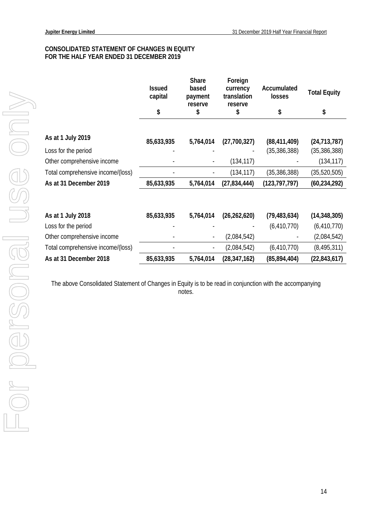### <span id="page-14-0"></span>**CONSOLIDATED STATEMENT OF CHANGES IN EQUITY FOR THE HALF YEAR ENDED 31 DECEMBER 2019**

|                                   | <b>Issued</b><br>capital | <b>Share</b><br>based<br>payment<br>reserve | Foreign<br>currency<br>translation<br>reserve | Accumulated<br>losses | <b>Total Equity</b> |
|-----------------------------------|--------------------------|---------------------------------------------|-----------------------------------------------|-----------------------|---------------------|
|                                   | \$                       | \$                                          | \$                                            | \$                    | \$                  |
| As at 1 July 2019                 | 85,633,935               | 5,764,014                                   | (27,700,327)                                  | (88, 411, 409)        | (24, 713, 787)      |
| Loss for the period               |                          |                                             |                                               | (35, 386, 388)        | (35, 386, 388)      |
| Other comprehensive income        |                          |                                             | (134, 117)                                    |                       | (134, 117)          |
| Total comprehensive income/(loss) |                          |                                             | (134, 117)                                    | (35, 386, 388)        | (35, 520, 505)      |
| As at 31 December 2019            | 85,633,935               | 5,764,014                                   | (27, 834, 444)                                | (123, 797, 797)       | (60, 234, 292)      |
|                                   |                          |                                             |                                               |                       |                     |
| As at 1 July 2018                 | 85,633,935               | 5,764,014                                   | (26, 262, 620)                                | (79, 483, 634)        | (14, 348, 305)      |
| Loss for the period               |                          |                                             |                                               | (6, 410, 770)         | (6, 410, 770)       |
| Other comprehensive income        |                          | $\overline{\phantom{a}}$                    | (2,084,542)                                   |                       | (2,084,542)         |
| Total comprehensive income/(loss) |                          | ÷                                           | (2,084,542)                                   | (6, 410, 770)         | (8, 495, 311)       |
| As at 31 December 2018            | 85,633,935               | 5,764,014                                   | (28, 347, 162)                                | (85, 894, 404)        | (22, 843, 617)      |

The above Consolidated Statement of Changes in Equity is to be read in conjunction with the accompanying notes.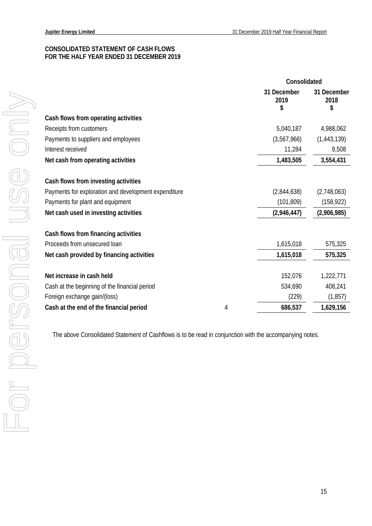### <span id="page-15-0"></span>**CONSOLIDATED STATEMENT OF CASH FLOWS FOR THE HALF YEAR ENDED 31 DECEMBER 2019**

|                                                      |   | Consolidated              |                           |
|------------------------------------------------------|---|---------------------------|---------------------------|
|                                                      |   | 31 December<br>2019<br>\$ | 31 December<br>2018<br>\$ |
| Cash flows from operating activities                 |   |                           |                           |
| Receipts from customers                              |   | 5,040,187                 | 4,988,062                 |
| Payments to suppliers and employees                  |   | (3,567,966)               | (1,443,139)               |
| Interest received                                    |   | 11,284                    | 9,508                     |
| Net cash from operating activities                   |   | 1,483,505                 | 3,554,431                 |
| Cash flows from investing activities                 |   |                           |                           |
| Payments for exploration and development expenditure |   | (2,844,638)               | (2,748,063)               |
| Payments for plant and equipment                     |   | (101, 809)                | (158, 922)                |
| Net cash used in investing activities                |   | (2,946,447)               | (2,906,985)               |
| Cash flows from financing activities                 |   |                           |                           |
| Proceeds from unsecured loan                         |   | 1,615,018                 | 575,325                   |
| Net cash provided by financing activities            |   | 1,615,018                 | 575,325                   |
|                                                      |   |                           |                           |
| Net increase in cash held                            |   | 152,076                   | 1,222,771                 |
| Cash at the beginning of the financial period        |   | 534,690                   | 408,241                   |
| Foreign exchange gain/(loss)                         |   | (229)                     | (1, 857)                  |
| Cash at the end of the financial period              | 4 | 686,537                   | 1,629,156                 |
|                                                      |   |                           |                           |

The above Consolidated Statement of Cashflows is to be read in conjunction with the accompanying notes.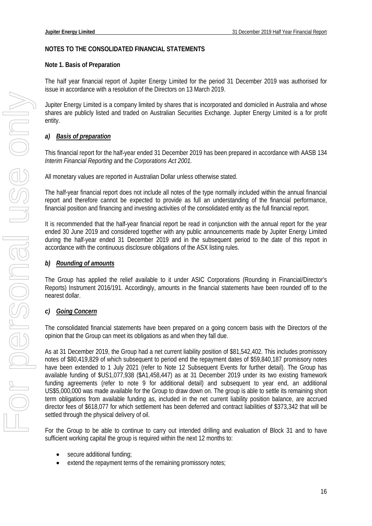### <span id="page-16-0"></span>**NOTES TO THE CONSOLIDATED FINANCIAL STATEMENTS**

### **Note 1. Basis of Preparation**

The half year financial report of Jupiter Energy Limited for the period 31 December 2019 was authorised for issue in accordance with a resolution of the Directors on 13 March 2019.

Jupiter Energy Limited is a company limited by shares that is incorporated and domiciled in Australia and whose shares are publicly listed and traded on Australian Securities Exchange. Jupiter Energy Limited is a for profit entity.

### *a) Basis of preparation*

This financial report for the half-year ended 31 December 2019 has been prepared in accordance with AASB 134 *Interim Financial Reporting* and the *Corporations Act 2001.*

All monetary values are reported in Australian Dollar unless otherwise stated.

The half-year financial report does not include all notes of the type normally included within the annual financial report and therefore cannot be expected to provide as full an understanding of the financial performance, financial position and financing and investing activities of the consolidated entity as the full financial report.

It is recommended that the half-year financial report be read in conjunction with the annual report for the year ended 30 June 2019 and considered together with any public announcements made by Jupiter Energy Limited during the half-year ended 31 December 2019 and in the subsequent period to the date of this report in accordance with the continuous disclosure obligations of the ASX listing rules.

### *b) Rounding of amounts*

The Group has applied the relief available to it under ASIC Corporations (Rounding in Financial/Director's Reports) Instrument 2016/191. Accordingly, amounts in the financial statements have been rounded off to the nearest dollar.

### *c) Going Concern*

The consolidated financial statements have been prepared on a going concern basis with the Directors of the opinion that the Group can meet its obligations as and when they fall due.

As at 31 December 2019, the Group had a net current liability position of \$81,542,402. This includes promissory notes of \$80,419,829 of which subsequent to period end the repayment dates of \$59,840,187 promissory notes have been extended to 1 July 2021 (refer to Note 12 Subsequent Events for further detail). The Group has available funding of \$US1,077,938 (\$A1,458,447) as at 31 December 2019 under its two existing framework funding agreements (refer to note 9 for additional detail) and subsequent to year end, an additional US\$5,000,000 was made available for the Group to draw down on. The group is able to settle its remaining short term obligations from available funding as, included in the net current liability position balance, are accrued director fees of \$618,077 for which settlement has been deferred and contract liabilities of \$373,342 that will be settled through the physical delivery of oil.

For the Group to be able to continue to carry out intended drilling and evaluation of Block 31 and to have sufficient working capital the group is required within the next 12 months to:

- secure additional funding;
- extend the repayment terms of the remaining promissory notes;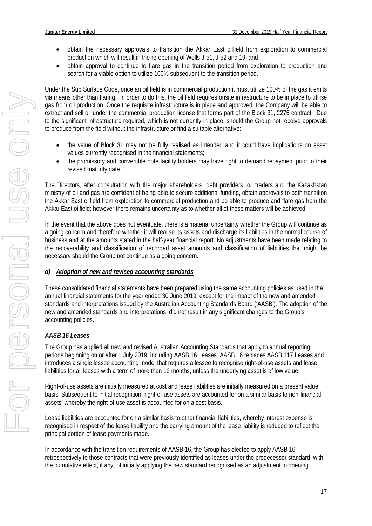- obtain the necessary approvals to transition the Akkar East oilfield from exploration to commercial production which will result in the re-opening of Wells J-51, J-52 and 19; and
- obtain approval to continue to flare gas in the transition period from exploration to production and search for a viable option to utilize 100% subsequent to the transition period.

Under the Sub Surface Code, once an oil field is in commercial production it must utilize 100% of the gas it emits via means other than flaring. In order to do this, the oil field requires onsite infrastructure to be in place to utilise gas from oil production. Once the requisite infrastructure is in place and approved, the Company will be able to extract and sell oil under the commercial production license that forms part of the Block 31, 2275 contract. Due to the significant infrastructure required, which is not currently in place, should the Group not receive approvals to produce from the field without the infrastructure or find a suitable alternative:

- the value of Block 31 may not be fully realised as intended and it could have implications on asset values currently recognised in the financial statements;
- the promissory and convertible note facility holders may have right to demand repayment prior to their revised maturity date.

The Directors, after consultation with the major shareholders, debt providers, oil traders and the Kazakhstan ministry of oil and gas are confident of being able to secure additional funding, obtain approvals to both transition the Akkar East oilfield from exploration to commercial production and be able to produce and flare gas from the Akkar East oilfield; however there remains uncertainty as to whether all of these matters will be achieved.

In the event that the above does not eventuate, there is a material uncertainty whether the Group will continue as a going concern and therefore whether it will realise its assets and discharge its liabilities in the normal course of business and at the amounts stated in the half-year financial report. No adjustments have been made relating to the recoverability and classification of recorded asset amounts and classification of liabilities that might be necessary should the Group not continue as a going concern.

# *d) Adoption of new and revised accounting standards*

These consolidated financial statements have been prepared using the same accounting policies as used in the annual financial statements for the year ended 30 June 2019, except for the impact of the new and amended standards and interpretations issued by the Australian Accounting Standards Board ('AASB'). The adoption of the new and amended standards and interpretations, did not result in any significant changes to the Group's accounting policies.

# *AASB 16 Leases*

The Group has applied all new and revised Australian Accounting Standards that apply to annual reporting periods beginning on or after 1 July 2019, including AASB 16 Leases. AASB 16 replaces AASB 117 Leases and introduces a single lessee accounting model that requires a lessee to recognise right-of-use assets and lease liabilities for all leases with a term of more than 12 months, unless the underlying asset is of low value.

Right-of-use assets are initially measured at cost and lease liabilities are initially measured on a present value basis. Subsequent to initial recognition, right-of-use assets are accounted for on a similar basis to non-financial assets, whereby the right-of-use asset is accounted for on a cost basis.

Lease liabilities are accounted for on a similar basis to other financial liabilities, whereby interest expense is recognised in respect of the lease liability and the carrying amount of the lease liability is reduced to reflect the principal portion of lease payments made.

In accordance with the transition requirements of AASB 16, the Group has elected to apply AASB 16 retrospectively to those contracts that were previously identified as leases under the predecessor standard, with the cumulative effect, if any, of initially applying the new standard recognised as an adjustment to opening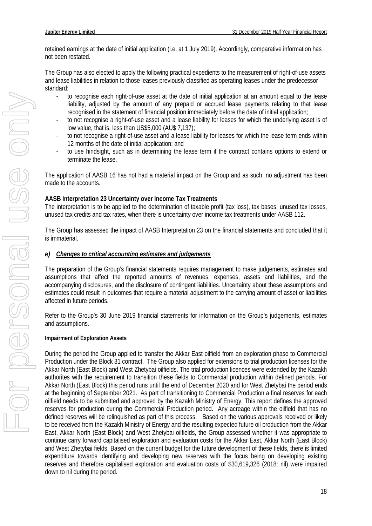retained earnings at the date of initial application (i.e. at 1 July 2019). Accordingly, comparative information has not been restated.

The Group has also elected to apply the following practical expedients to the measurement of right-of-use assets and lease liabilities in relation to those leases previously classified as operating leases under the predecessor standard:

- to recognise each right-of-use asset at the date of initial application at an amount equal to the lease liability, adjusted by the amount of any prepaid or accrued lease payments relating to that lease recognised in the statement of financial position immediately before the date of initial application;
- to not recognise a right-of-use asset and a lease liability for leases for which the underlying asset is of low value, that is, less than US\$5,000 (AU\$ 7,137);
- to not recognise a right-of-use asset and a lease liability for leases for which the lease term ends within 12 months of the date of initial application; and
- to use hindsight, such as in determining the lease term if the contract contains options to extend or terminate the lease.

The application of AASB 16 has not had a material impact on the Group and as such, no adjustment has been made to the accounts.

### **AASB Interpretation 23 Uncertainty over Income Tax Treatments**

The interpretation is to be applied to the determination of taxable profit (tax loss), tax bases, unused tax losses, unused tax credits and tax rates, when there is uncertainty over income tax treatments under AASB 112.

The Group has assessed the impact of AASB Interpretation 23 on the financial statements and concluded that it is immaterial.

### *e) Changes to critical accounting estimates and judgements*

The preparation of the Group's financial statements requires management to make judgements, estimates and assumptions that affect the reported amounts of revenues, expenses, assets and liabilities, and the accompanying disclosures, and the disclosure of contingent liabilities. Uncertainty about these assumptions and estimates could result in outcomes that require a material adjustment to the carrying amount of asset or liabilities affected in future periods.

Refer to the Group's 30 June 2019 financial statements for information on the Group's judgements, estimates and assumptions.

### **Impairment of Exploration Assets**

During the period the Group applied to transfer the Akkar East oilfield from an exploration phase to Commercial Production under the Block 31 contract. The Group also applied for extensions to trial production licenses for the Akkar North (East Block) and West Zhetybai oilfields. The trial production licences were extended by the Kazakh authorites with the requirement to transition these fields to Commercial production within defined periods. For Akkar North (East Block) this period runs until the end of December 2020 and for West Zhetybai the period ends at the beginning of September 2021. As part of transitioning to Commercial Production a final reserves for each oilfield needs to be submitted and approved by the Kazakh Ministry of Energy. This report defines the approved reserves for production during the Commercial Production period. Any acreage within the oilfield that has no defined reserves will be relinquished as part of this process. Based on the various approvals received or likely to be received from the Kazakh Ministry of Energy and the resulting expected future oil production from the Akkar East, Akkar North (East Block) and West Zhetybai oilfields, the Group assessed whether it was appropriate to continue carry forward capitalised exploration and evaluation costs for the Akkar East, Akkar North (East Block) and West Zhetybai fields. Based on the current budget for the future development of these fields, there is limited expenditure towards identifying and developing new reserves with the focus being on developing existing reserves and therefore capitalised exploration and evaluation costs of \$30,619,326 (2018: nil) were impaired down to nil during the period.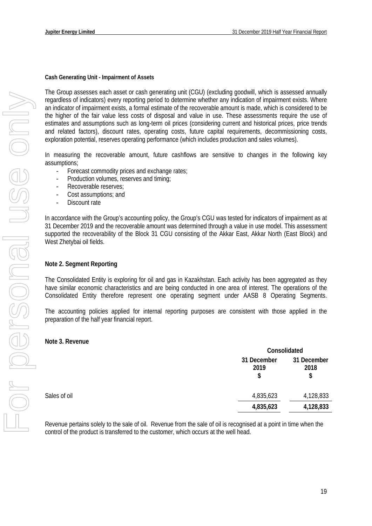### **Cash Generating Unit - Impairment of Assets**

The Group assesses each asset or cash generating unit (CGU) (excluding goodwill, which is assessed annually regardless of indicators) every reporting period to determine whether any indication of impairment exists. Where an indicator of impairment exists, a formal estimate of the recoverable amount is made, which is considered to be the higher of the fair value less costs of disposal and value in use. These assessments require the use of estimates and assumptions such as long-term oil prices (considering current and historical prices, price trends and related factors), discount rates, operating costs, future capital requirements, decommissioning costs, exploration potential, reserves operating performance (which includes production and sales volumes).

In measuring the recoverable amount, future cashflows are sensitive to changes in the following key assumptions;

- Forecast commodity prices and exchange rates;
- Production volumes, reserves and timing;
- Recoverable reserves;
- Cost assumptions; and
- Discount rate

In accordance with the Group's accounting policy, the Group's CGU was tested for indicators of impairment as at 31 December 2019 and the recoverable amount was determined through a value in use model. This assessment supported the recoverability of the Block 31 CGU consisting of the Akkar East, Akkar North (East Block) and West Zhetybai oil fields.

### **Note 2. Segment Reporting**

The Consolidated Entity is exploring for oil and gas in Kazakhstan. Each activity has been aggregated as they have similar economic characteristics and are being conducted in one area of interest. The operations of the Consolidated Entity therefore represent one operating segment under AASB 8 Operating Segments.

The accounting policies applied for internal reporting purposes are consistent with those applied in the preparation of the half year financial report.

#### **Note 3. Revenue**

|              |                           | Consolidated              |  |
|--------------|---------------------------|---------------------------|--|
|              | 31 December<br>2019<br>\$ | 31 December<br>2018<br>\$ |  |
| Sales of oil | 4,835,623                 | 4,128,833                 |  |
|              | 4,835,623                 | 4,128,833                 |  |

Revenue pertains solely to the sale of oil. Revenue from the sale of oil is recognised at a point in time when the control of the product is transferred to the customer, which occurs at the well head.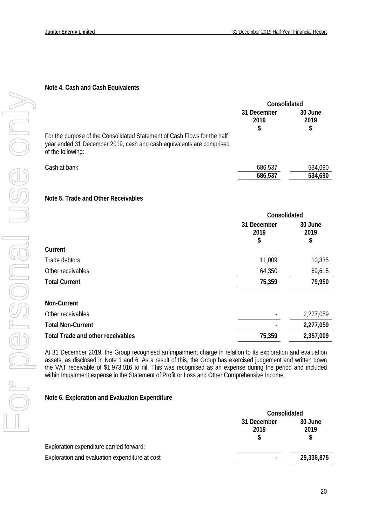# **Note 4. Cash and Cash Equivalents**

|                                                                                                                                                                       | Consolidated              |                       |
|-----------------------------------------------------------------------------------------------------------------------------------------------------------------------|---------------------------|-----------------------|
|                                                                                                                                                                       | 31 December<br>2019<br>\$ | 30 June<br>2019<br>\$ |
| For the purpose of the Consolidated Statement of Cash Flows for the half<br>year ended 31 December 2019, cash and cash equivalents are comprised<br>of the following: |                           |                       |
| Cash at bank                                                                                                                                                          | 686,537                   | 534,690               |
|                                                                                                                                                                       | 686,537                   | 534,690               |
| Note 5. Trade and Other Receivables                                                                                                                                   |                           |                       |

|                                          | Consolidated              |                       |  |
|------------------------------------------|---------------------------|-----------------------|--|
|                                          | 31 December<br>2019<br>\$ | 30 June<br>2019<br>\$ |  |
| Current                                  |                           |                       |  |
| Trade debtors                            | 11,009                    | 10,335                |  |
| Other receivables                        | 64,350                    | 69,615                |  |
| <b>Total Current</b>                     | 75,359                    | 79,950                |  |
| Non-Current                              |                           |                       |  |
| Other receivables                        |                           | 2,277,059             |  |
| <b>Total Non-Current</b>                 |                           | 2,277,059             |  |
| <b>Total Trade and other receivables</b> | 75,359                    | 2,357,009             |  |

At 31 December 2019, the Group recognised an impairment charge in relation to its exploration and evaluation assets, as disclosed in Note 1 and 6. As a result of this, the Group has exercised judgement and written down the VAT receivable of \$1,973,016 to nil. This was recognised as an expense during the period and included within Impairment expense in the Statement of Profit or Loss and Other Comprehensive Income.

### **Note 6. Exploration and Evaluation Expenditure**

|                                                | Consolidated        |                 |
|------------------------------------------------|---------------------|-----------------|
|                                                | 31 December<br>2019 | 30 June<br>2019 |
| Exploration expenditure carried forward:       |                     |                 |
| Exploration and evaluation expenditure at cost | ٠                   | 29,336,875      |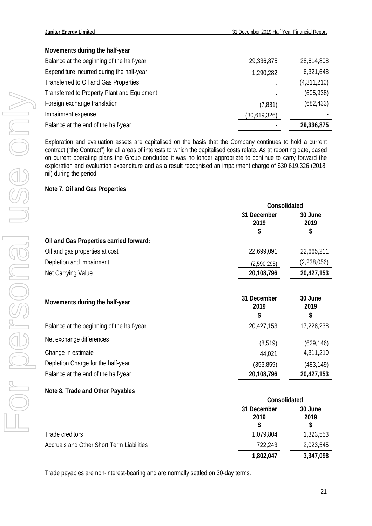# **Movements during the half-year**

| Balance at the beginning of the half-year   | 29,336,875   | 28,614,808  |
|---------------------------------------------|--------------|-------------|
| Expenditure incurred during the half-year   | 1,290,282    | 6,321,648   |
| Transferred to Oil and Gas Properties       |              | (4,311,210) |
| Transferred to Property Plant and Equipment |              | (605, 938)  |
| Foreign exchange translation                | (7, 831)     | (682, 433)  |
| Impairment expense                          | (30,619,326) |             |
| Balance at the end of the half-year         |              | 29,336,875  |

Exploration and evaluation assets are capitalised on the basis that the Company continues to hold a current contract ("the Contract") for all areas of interests to which the capitalised costs relate. As at reporting date, based on current operating plans the Group concluded it was no longer appropriate to continue to carry forward the exploration and evaluation expenditure and as a result recognised an impairment charge of \$30,619,326 (2018: nil) during the period.

### **Note 7. Oil and Gas Properties**

|                                                | Consolidated              |                         |
|------------------------------------------------|---------------------------|-------------------------|
|                                                | 31 December<br>2019       | 30 June<br>2019         |
|                                                | \$                        | \$                      |
| Oil and Gas Properties carried forward:        |                           |                         |
| Oil and gas properties at cost                 | 22,699,091                | 22,665,211              |
| Depletion and impairment                       | (2,590,295)               | (2,238,056)             |
| Net Carrying Value                             | 20,108,796                | 20,427,153              |
| Movements during the half-year                 | 31 December<br>2019<br>\$ | 30 June<br>2019<br>\$   |
| Balance at the beginning of the half-year      | 20,427,153                | 17,228,238              |
| Net exchange differences<br>Change in estimate | (8, 519)<br>44,021        | (629, 146)<br>4,311,210 |
| Depletion Charge for the half-year             | (353, 859)                | (483,149)               |
| Balance at the end of the half-year            | 20,108,796                | 20,427,153              |
| Note 8. Trade and Other Payables               |                           |                         |

|                                                  | Consolidated             |                       |
|--------------------------------------------------|--------------------------|-----------------------|
|                                                  | 31 December<br>2019<br>S | 30 June<br>2019<br>\$ |
| Trade creditors                                  | 1,079,804                | 1,323,553             |
| <b>Accruals and Other Short Term Liabilities</b> | 722,243                  | 2,023,545             |
|                                                  | 1,802,047                | 3,347,098             |

Trade payables are non-interest-bearing and are normally settled on 30-day terms.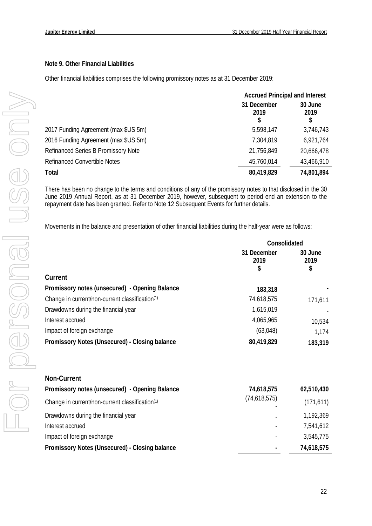# **Note 9. Other Financial Liabilities**

Other financial liabilities comprises the following promissory notes as at 31 December 2019:

|                                      | <b>Accrued Principal and Interest</b> |                       |
|--------------------------------------|---------------------------------------|-----------------------|
|                                      | 31 December<br>2019<br>\$             | 30 June<br>2019<br>\$ |
| 2017 Funding Agreement (max \$US 5m) | 5,598,147                             | 3,746,743             |
| 2016 Funding Agreement (max \$US 5m) | 7,304,819                             | 6,921,764             |
| Refinanced Series B Promissory Note  | 21,756,849                            | 20,666,478            |
| <b>Refinanced Convertible Notes</b>  | 45,760,014                            | 43,466,910            |
| Total                                | 80,419,829                            | 74,801,894            |

There has been no change to the terms and conditions of any of the promissory notes to that disclosed in the 30 June 2019 Annual Report, as at 31 December 2019, however, subsequent to period end an extension to the repayment date has been granted. Refer to Note 12 Subsequent Events for further details.

Movements in the balance and presentation of other financial liabilities during the half-year were as follows:

|                                                             | Consolidated              |                       |
|-------------------------------------------------------------|---------------------------|-----------------------|
|                                                             | 31 December<br>2019<br>\$ | 30 June<br>2019<br>\$ |
| Current                                                     |                           |                       |
| Promissory notes (unsecured) - Opening Balance              | 183,318                   |                       |
| Change in current/non-current classification <sup>(1)</sup> | 74,618,575                | 171,611               |
| Drawdowns during the financial year                         | 1,615,019                 |                       |
| Interest accrued                                            | 4,065,965                 | 10,534                |
| Impact of foreign exchange                                  | (63,048)                  | 1,174                 |
| Promissory Notes (Unsecured) - Closing balance              | 80,419,829                | 183,319               |
|                                                             |                           |                       |
| Non-Current                                                 |                           |                       |
| Promissory notes (unsecured) - Opening Balance              | 74,618,575                | 62,510,430            |
| Change in current/non-current classification <sup>(1)</sup> | (74,618,575)              | (171, 611)            |
| Drawdowns during the financial year                         |                           | 1,192,369             |
| Interest accrued                                            |                           | 7,541,612             |
| Impact of foreign exchange                                  |                           | 3,545,775             |
| Promissory Notes (Unsecured) - Closing balance              |                           | 74,618,575            |